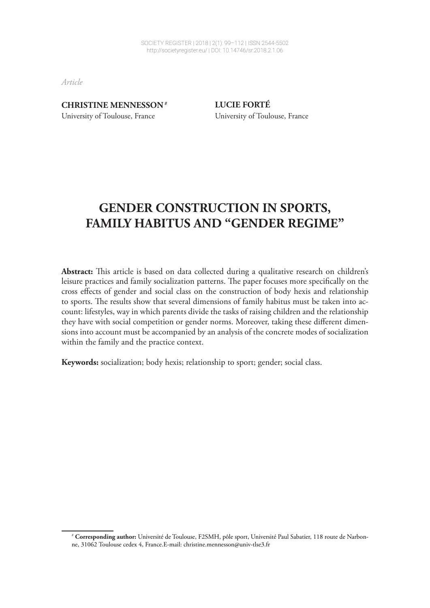*Article*

#### **CHRISTINE MENNESSON**#

University of Toulouse, France

**LUCIE FORTÉ** University of Toulouse, France

# **GENDER CONSTRUCTION IN SPORTS, FAMILY HABITUS AND "GENDER REGIME"**

Abstract: This article is based on data collected during a qualitative research on children's leisure practices and family socialization patterns. The paper focuses more specifically on the cross efects of gender and social class on the construction of body hexis and relationship to sports. The results show that several dimensions of family habitus must be taken into account: lifestyles, way in which parents divide the tasks of raising children and the relationship they have with social competition or gender norms. Moreover, taking these diferent dimensions into account must be accompanied by an analysis of the concrete modes of socialization within the family and the practice context.

**Keywords:** socialization; body hexis; relationship to sport; gender; social class.

<sup>1</sup> # **Corresponding author:** Université de Toulouse, F2SMH, pôle sport, Université Paul Sabatier, 118 route de Narbonne, 31062 Toulouse cedex 4, France.E-mail: christine.mennesson@univ-tlse3.fr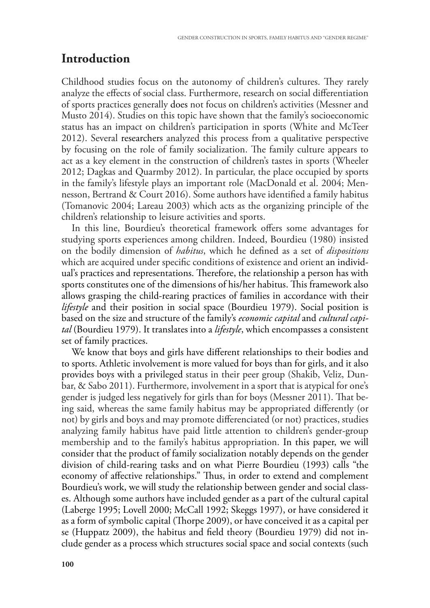## **Introduction**

Childhood studies focus on the autonomy of children's cultures. They rarely analyze the efects of social class. Furthermore, research on social diferentiation of sports practices generally does not focus on children's activities (Messner and Musto 2014). Studies on this topic have shown that the family's socioeconomic status has an impact on children's participation in sports (White and McTeer 2012). Several researchers analyzed this process from a qualitative perspective by focusing on the role of family socialization. The family culture appears to act as a key element in the construction of children's tastes in sports (Wheeler 2012; Dagkas and Quarmby 2012). In particular, the place occupied by sports in the family's lifestyle plays an important role (MacDonald et al. 2004; Mennesson, Bertrand & Court 2016). Some authors have identifed a family habitus (Tomanovic 2004; Lareau 2003) which acts as the organizing principle of the children's relationship to leisure activities and sports.

In this line, Bourdieu's theoretical framework offers some advantages for studying sports experiences among children. Indeed, Bourdieu (1980) insisted on the bodily dimension of *habitus*, which he defned as a set of *dispositions* which are acquired under specifc conditions of existence and orient an individual's practices and representations. Therefore, the relationship a person has with sports constitutes one of the dimensions of his/her habitus. This framework also allows grasping the child-rearing practices of families in accordance with their *lifestyle* and their position in social space (Bourdieu 1979). Social position is based on the size and structure of the family's *economic capital* and *cultural capital* (Bourdieu 1979). It translates into a *lifestyle*, which encompasses a consistent set of family practices.

We know that boys and girls have diferent relationships to their bodies and to sports. Athletic involvement is more valued for boys than for girls, and it also provides boys with a privileged status in their peer group (Shakib, Veliz, Dunbar, & Sabo 2011). Furthermore, involvement in a sport that is atypical for one's gender is judged less negatively for girls than for boys (Messner 2011). Tat being said, whereas the same family habitus may be appropriated diferently (or not) by girls and boys and may promote diferenciated (or not) practices, studies analyzing family habitus have paid little attention to children's gender-group membership and to the family's habitus appropriation. In this paper, we will consider that the product of family socialization notably depends on the gender division of child-rearing tasks and on what Pierre Bourdieu (1993) calls "the economy of affective relationships." Thus, in order to extend and complement Bourdieu's work, we will study the relationship between gender and social classes. Although some authors have included gender as a part of the cultural capital (Laberge 1995; Lovell 2000; McCall 1992; Skeggs 1997), or have considered it as a form of symbolic capital (Thorpe 2009), or have conceived it as a capital per se (Huppatz 2009), the habitus and feld theory (Bourdieu 1979) did not include gender as a process which structures social space and social contexts (such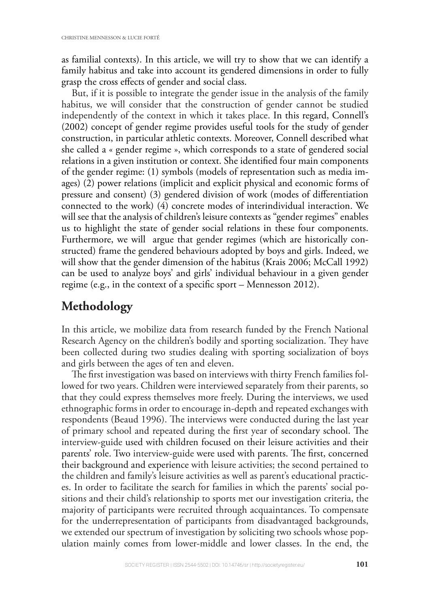as familial contexts). In this article, we will try to show that we can identify a family habitus and take into account its gendered dimensions in order to fully grasp the cross efects of gender and social class.

But, if it is possible to integrate the gender issue in the analysis of the family habitus, we will consider that the construction of gender cannot be studied independently of the context in which it takes place. In this regard, Connell's (2002) concept of gender regime provides useful tools for the study of gender construction, in particular athletic contexts. Moreover, Connell described what she called a « gender regime », which corresponds to a state of gendered social relations in a given institution or context. She identifed four main components of the gender regime: (1) symbols (models of representation such as media images) (2) power relations (implicit and explicit physical and economic forms of pressure and consent) (3) gendered division of work (modes of diferentiation connected to the work) (4) concrete modes of interindividual interaction. We will see that the analysis of children's leisure contexts as "gender regimes" enables us to highlight the state of gender social relations in these four components. Furthermore, we will argue that gender regimes (which are historically constructed) frame the gendered behaviours adopted by boys and girls. Indeed, we will show that the gender dimension of the habitus (Krais 2006; McCall 1992) can be used to analyze boys' and girls' individual behaviour in a given gender regime (e.g., in the context of a specifc sport – Mennesson 2012).

#### **Methodology**

In this article, we mobilize data from research funded by the French National Research Agency on the children's bodily and sporting socialization. They have been collected during two studies dealing with sporting socialization of boys and girls between the ages of ten and eleven.

The first investigation was based on interviews with thirty French families followed for two years. Children were interviewed separately from their parents, so that they could express themselves more freely. During the interviews, we used ethnographic forms in order to encourage in-depth and repeated exchanges with respondents (Beaud 1996). The interviews were conducted during the last year of primary school and repeated during the first year of secondary school. The interview-guide used with children focused on their leisure activities and their parents' role. Two interview-guide were used with parents. The first, concerned their background and experience with leisure activities; the second pertained to the children and family's leisure activities as well as parent's educational practices. In order to facilitate the search for families in which the parents' social positions and their child's relationship to sports met our investigation criteria, the majority of participants were recruited through acquaintances. To compensate for the underrepresentation of participants from disadvantaged backgrounds, we extended our spectrum of investigation by soliciting two schools whose population mainly comes from lower-middle and lower classes. In the end, the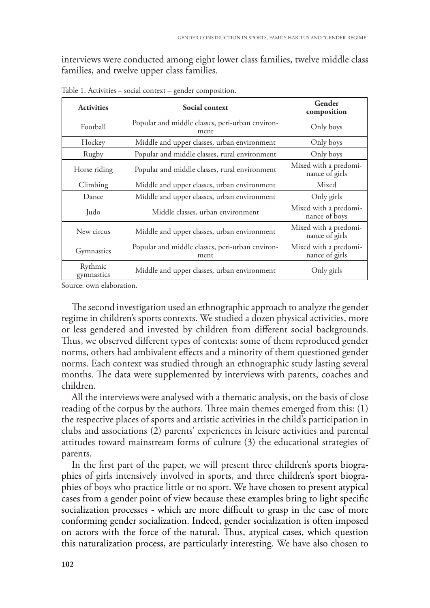interviews were conducted among eight lower class families, twelve middle class families, and twelve upper class families.

| <b>Activities</b>     | Social context                                          | Gender<br>composition                   |  |
|-----------------------|---------------------------------------------------------|-----------------------------------------|--|
| Football              | Popular and middle classes, peri-urban environ-<br>ment | Only boys                               |  |
| Hockey                | Middle and upper classes, urban environment             | Only boys                               |  |
| Rugby                 | Popular and middle classes, rural environment           | Only boys                               |  |
| Horse riding          | Popular and middle classes, rural environment           | Mixed with a predomi-<br>nance of girls |  |
| Climbing              | Middle and upper classes, urban environment             | Mixed                                   |  |
| Dance                 | Middle and upper classes, urban environment             | Only girls                              |  |
| Judo                  | Middle classes, urban environment                       | Mixed with a predomi-<br>nance of boys  |  |
| New circus            | Middle and upper classes, urban environment             | Mixed with a predomi-<br>nance of girls |  |
| Gymnastics            | Popular and middle classes, peri-urban environ-<br>ment | Mixed with a predomi-<br>nance of girls |  |
| Rythmic<br>gymnastics | Middle and upper classes, urban environment             | Only girls                              |  |

Table 1. Activities – social context – gender composition.

Source: own elaboration.

The second investigation used an ethnographic approach to analyze the gender regime in children's sports contexts. We studied a dozen physical activities, more or less gendered and invested by children from diferent social backgrounds. Thus, we observed different types of contexts: some of them reproduced gender norms, others had ambivalent efects and a minority of them questioned gender norms. Each context was studied through an ethnographic study lasting several months. The data were supplemented by interviews with parents, coaches and children.

All the interviews were analysed with a thematic analysis, on the basis of close reading of the corpus by the authors. Three main themes emerged from this:  $(1)$ the respective places of sports and artistic activities in the child's participation in clubs and associations (2) parents' experiences in leisure activities and parental attitudes toward mainstream forms of culture (3) the educational strategies of parents.

In the frst part of the paper, we will present three children's sports biographies of girls intensively involved in sports, and three children's sport biographies of boys who practice little or no sport. We have chosen to present atypical cases from a gender point of view because these examples bring to light specifc socialization processes - which are more difficult to grasp in the case of more conforming gender socialization. Indeed, gender socialization is often imposed on actors with the force of the natural. Thus, atypical cases, which question this naturalization process, are particularly interesting. We have also chosen to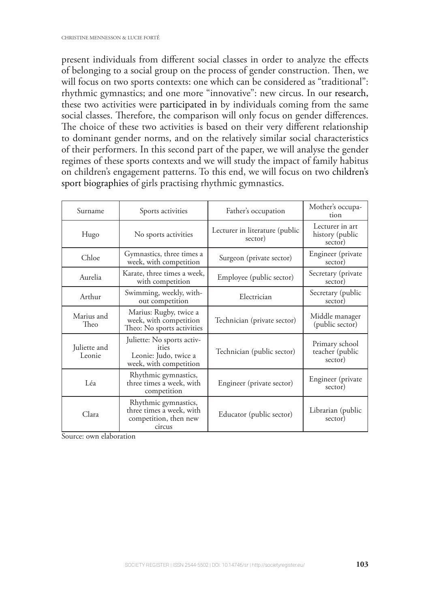present individuals from diferent social classes in order to analyze the efects of belonging to a social group on the process of gender construction. Then, we will focus on two sports contexts: one which can be considered as "traditional": rhythmic gymnastics; and one more "innovative": new circus. In our research, these two activities were participated in by individuals coming from the same social classes. Therefore, the comparison will only focus on gender differences. The choice of these two activities is based on their very different relationship to dominant gender norms, and on the relatively similar social characteristics of their performers. In this second part of the paper, we will analyse the gender regimes of these sports contexts and we will study the impact of family habitus on children's engagement patterns. To this end, we will focus on two children's sport biographies of girls practising rhythmic gymnastics.

| Surname                | Sports activities                                                                      | Father's occupation                       | Mother's occupa-<br>tion                      |
|------------------------|----------------------------------------------------------------------------------------|-------------------------------------------|-----------------------------------------------|
| Hugo                   | No sports activities                                                                   | Lecturer in literature (public<br>sector) | Lecturer in art<br>history (public<br>sector) |
| Chloe                  | Gymnastics, three times a<br>week, with competition                                    | Surgeon (private sector)                  | Engineer (private<br>sector)                  |
| Aurelia                | Karate, three times a week,<br>with competition                                        | Employee (public sector)                  | Secretary (private<br>sector)                 |
| Arthur                 | Swimming, weekly, with-<br>out competition                                             | Electrician                               | Secretary (public<br>sector)                  |
| Marius and<br>Theo     | Marius: Rugby, twice a<br>week, with competition<br>Theo: No sports activities         | Technician (private sector)               | Middle manager<br>(public sector)             |
| Juliette and<br>Leonie | Juliette: No sports activ-<br>ities<br>Leonie: Judo, twice a<br>week, with competition | Technician (public sector)                | Primary school<br>teacher (public<br>sector)  |
| Léa                    | Rhythmic gymnastics,<br>three times a week, with<br>competition                        | Engineer (private sector)                 | Engineer (private<br>sector)                  |
| Clara                  | Rhythmic gymnastics,<br>three times a week, with<br>competition, then new<br>circus    | Educator (public sector)                  | Librarian (public<br>sector)                  |

Source: own elaboration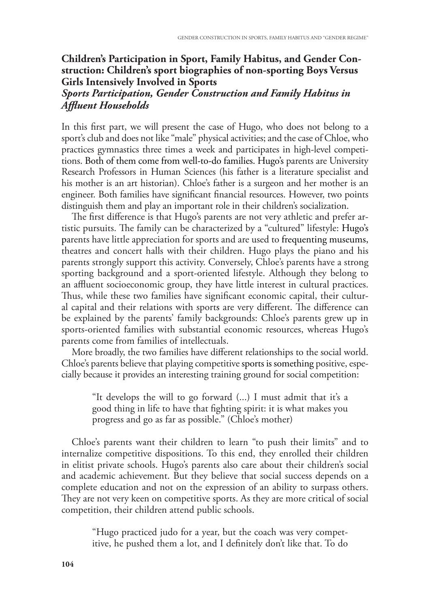#### **Children's Participation in Sport, Family Habitus, and Gender Construction: Children's sport biographies of non-sporting Boys Versus Girls Intensively Involved in Sports**

#### *Sports Participation, Gender Construction and Family Habitus in Afuent Households*

In this frst part, we will present the case of Hugo, who does not belong to a sport's club and does not like "male" physical activities; and the case of Chloe, who practices gymnastics three times a week and participates in high-level competitions. Both of them come from well-to-do families. Hugo's parents are University Research Professors in Human Sciences (his father is a literature specialist and his mother is an art historian). Chloe's father is a surgeon and her mother is an engineer. Both families have signifcant fnancial resources. However, two points distinguish them and play an important role in their children's socialization.

The first difference is that Hugo's parents are not very athletic and prefer artistic pursuits. The family can be characterized by a "cultured" lifestyle: Hugo's parents have little appreciation for sports and are used to frequenting museums, theatres and concert halls with their children. Hugo plays the piano and his parents strongly support this activity. Conversely, Chloe's parents have a strong sporting background and a sport-oriented lifestyle. Although they belong to an affluent socioeconomic group, they have little interest in cultural practices. Thus, while these two families have significant economic capital, their cultural capital and their relations with sports are very different. The difference can be explained by the parents' family backgrounds: Chloe's parents grew up in sports-oriented families with substantial economic resources, whereas Hugo's parents come from families of intellectuals.

More broadly, the two families have diferent relationships to the social world. Chloe's parents believe that playing competitive sports is something positive, especially because it provides an interesting training ground for social competition:

"It develops the will to go forward (...) I must admit that it's a good thing in life to have that fghting spirit: it is what makes you progress and go as far as possible." (Chloe's mother)

Chloe's parents want their children to learn "to push their limits" and to internalize competitive dispositions. To this end, they enrolled their children in elitist private schools. Hugo's parents also care about their children's social and academic achievement. But they believe that social success depends on a complete education and not on the expression of an ability to surpass others. They are not very keen on competitive sports. As they are more critical of social competition, their children attend public schools.

"Hugo practiced judo for a year, but the coach was very competitive, he pushed them a lot, and I defnitely don't like that. To do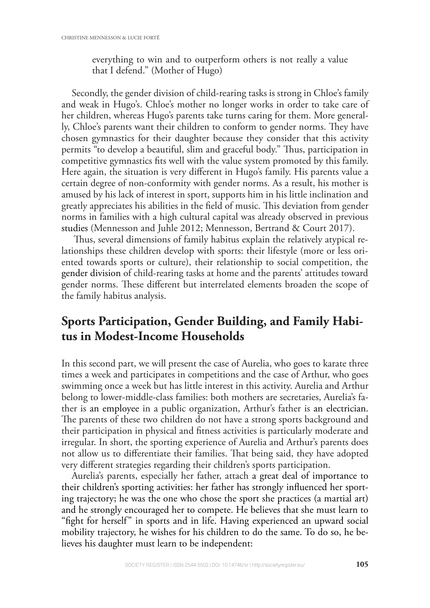everything to win and to outperform others is not really a value that I defend." (Mother of Hugo)

Secondly, the gender division of child-rearing tasks is strong in Chloe's family and weak in Hugo's. Chloe's mother no longer works in order to take care of her children, whereas Hugo's parents take turns caring for them. More generally, Chloe's parents want their children to conform to gender norms. They have chosen gymnastics for their daughter because they consider that this activity permits "to develop a beautiful, slim and graceful body." Thus, participation in competitive gymnastics fts well with the value system promoted by this family. Here again, the situation is very diferent in Hugo's family. His parents value a certain degree of non-conformity with gender norms. As a result, his mother is amused by his lack of interest in sport, supports him in his little inclination and greatly appreciates his abilities in the field of music. This deviation from gender norms in families with a high cultural capital was already observed in previous studies (Mennesson and Juhle 2012; Mennesson, Bertrand & Court 2017).

Thus, several dimensions of family habitus explain the relatively atypical relationships these children develop with sports: their lifestyle (more or less oriented towards sports or culture), their relationship to social competition, the gender division of child-rearing tasks at home and the parents' attitudes toward gender norms. These different but interrelated elements broaden the scope of the family habitus analysis.

## **Sports Participation, Gender Building, and Family Habitus in Modest-Income Households**

In this second part, we will present the case of Aurelia, who goes to karate three times a week and participates in competitions and the case of Arthur, who goes swimming once a week but has little interest in this activity. Aurelia and Arthur belong to lower-middle-class families: both mothers are secretaries, Aurelia's father is an employee in a public organization, Arthur's father is an electrician. The parents of these two children do not have a strong sports background and their participation in physical and ftness activities is particularly moderate and irregular. In short, the sporting experience of Aurelia and Arthur's parents does not allow us to differentiate their families. That being said, they have adopted very diferent strategies regarding their children's sports participation.

Aurelia's parents, especially her father, attach a great deal of importance to their children's sporting activities: her father has strongly infuenced her sporting trajectory; he was the one who chose the sport she practices (a martial art) and he strongly encouraged her to compete. He believes that she must learn to "fght for herself" in sports and in life. Having experienced an upward social mobility trajectory, he wishes for his children to do the same. To do so, he believes his daughter must learn to be independent: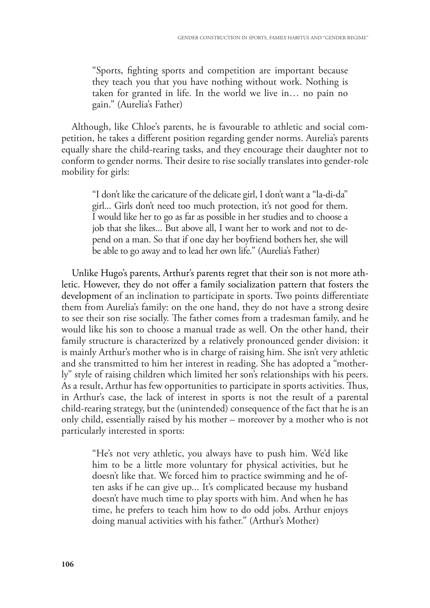"Sports, fghting sports and competition are important because they teach you that you have nothing without work. Nothing is taken for granted in life. In the world we live in… no pain no gain." (Aurelia's Father)

Although, like Chloe's parents, he is favourable to athletic and social competition, he takes a diferent position regarding gender norms. Aurelia's parents equally share the child-rearing tasks, and they encourage their daughter not to conform to gender norms. Their desire to rise socially translates into gender-role mobility for girls:

"I don't like the caricature of the delicate girl, I don't want a "la-di-da" girl... Girls don't need too much protection, it's not good for them. I would like her to go as far as possible in her studies and to choose a job that she likes... But above all, I want her to work and not to depend on a man. So that if one day her boyfriend bothers her, she will be able to go away and to lead her own life." (Aurelia's Father)

Unlike Hugo's parents, Arthur's parents regret that their son is not more athletic. However, they do not offer a family socialization pattern that fosters the development of an inclination to participate in sports. Two points diferentiate them from Aurelia's family: on the one hand, they do not have a strong desire to see their son rise socially. The father comes from a tradesman family, and he would like his son to choose a manual trade as well. On the other hand, their family structure is characterized by a relatively pronounced gender division: it is mainly Arthur's mother who is in charge of raising him. She isn't very athletic and she transmitted to him her interest in reading. She has adopted a "motherly" style of raising children which limited her son's relationships with his peers. As a result, Arthur has few opportunities to participate in sports activities. Thus, in Arthur's case, the lack of interest in sports is not the result of a parental child-rearing strategy, but the (unintended) consequence of the fact that he is an only child, essentially raised by his mother – moreover by a mother who is not particularly interested in sports:

"He's not very athletic, you always have to push him. We'd like him to be a little more voluntary for physical activities, but he doesn't like that. We forced him to practice swimming and he often asks if he can give up... It's complicated because my husband doesn't have much time to play sports with him. And when he has time, he prefers to teach him how to do odd jobs. Arthur enjoys doing manual activities with his father." (Arthur's Mother)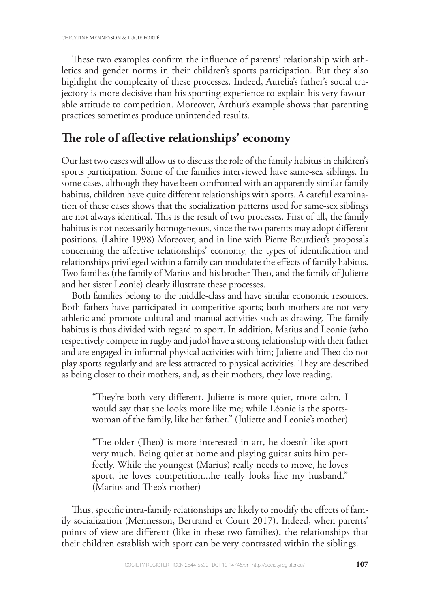These two examples confirm the influence of parents' relationship with athletics and gender norms in their children's sports participation. But they also highlight the complexity of these processes. Indeed, Aurelia's father's social trajectory is more decisive than his sporting experience to explain his very favourable attitude to competition. Moreover, Arthur's example shows that parenting practices sometimes produce unintended results.

## **Te role of afective relationships' economy**

Our last two cases will allow us to discuss the role of the family habitus in children's sports participation. Some of the families interviewed have same-sex siblings. In some cases, although they have been confronted with an apparently similar family habitus, children have quite diferent relationships with sports. A careful examination of these cases shows that the socialization patterns used for same-sex siblings are not always identical. This is the result of two processes. First of all, the family habitus is not necessarily homogeneous, since the two parents may adopt diferent positions. (Lahire 1998) Moreover, and in line with Pierre Bourdieu's proposals concerning the afective relationships' economy, the types of identifcation and relationships privileged within a family can modulate the effects of family habitus. Two families (the family of Marius and his brother Theo, and the family of Juliette and her sister Leonie) clearly illustrate these processes.

Both families belong to the middle-class and have similar economic resources. Both fathers have participated in competitive sports; both mothers are not very athletic and promote cultural and manual activities such as drawing. The family habitus is thus divided with regard to sport. In addition, Marius and Leonie (who respectively compete in rugby and judo) have a strong relationship with their father and are engaged in informal physical activities with him; Juliette and Theo do not play sports regularly and are less attracted to physical activities. They are described as being closer to their mothers, and, as their mothers, they love reading.

"They're both very different. Juliette is more quiet, more calm, I would say that she looks more like me; while Léonie is the sportswoman of the family, like her father." (Juliette and Leonie's mother)

"The older (Theo) is more interested in art, he doesn't like sport very much. Being quiet at home and playing guitar suits him perfectly. While the youngest (Marius) really needs to move, he loves sport, he loves competition...he really looks like my husband." (Marius and Theo's mother)

Thus, specific intra-family relationships are likely to modify the effects of family socialization (Mennesson, Bertrand et Court 2017). Indeed, when parents' points of view are diferent (like in these two families), the relationships that their children establish with sport can be very contrasted within the siblings.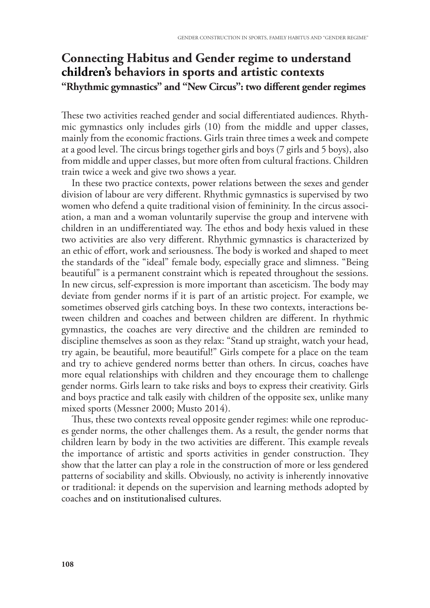## **Connecting Habitus and Gender regime to understand children's behaviors in sports and artistic contexts "Rhythmic gymnastics" and "New Circus": two diferent gender regimes**

These two activities reached gender and social differentiated audiences. Rhythmic gymnastics only includes girls (10) from the middle and upper classes, mainly from the economic fractions. Girls train three times a week and compete at a good level. The circus brings together girls and boys (7 girls and 5 boys), also from middle and upper classes, but more often from cultural fractions. Children train twice a week and give two shows a year.

In these two practice contexts, power relations between the sexes and gender division of labour are very diferent. Rhythmic gymnastics is supervised by two women who defend a quite traditional vision of femininity. In the circus association, a man and a woman voluntarily supervise the group and intervene with children in an undifferentiated way. The ethos and body hexis valued in these two activities are also very diferent. Rhythmic gymnastics is characterized by an ethic of effort, work and seriousness. The body is worked and shaped to meet the standards of the "ideal" female body, especially grace and slimness. "Being beautiful" is a permanent constraint which is repeated throughout the sessions. In new circus, self-expression is more important than asceticism. The body may deviate from gender norms if it is part of an artistic project. For example, we sometimes observed girls catching boys. In these two contexts, interactions between children and coaches and between children are diferent. In rhythmic gymnastics, the coaches are very directive and the children are reminded to discipline themselves as soon as they relax: "Stand up straight, watch your head, try again, be beautiful, more beautiful!" Girls compete for a place on the team and try to achieve gendered norms better than others. In circus, coaches have more equal relationships with children and they encourage them to challenge gender norms. Girls learn to take risks and boys to express their creativity. Girls and boys practice and talk easily with children of the opposite sex, unlike many mixed sports (Messner 2000; Musto 2014).

Thus, these two contexts reveal opposite gender regimes: while one reproduces gender norms, the other challenges them. As a result, the gender norms that children learn by body in the two activities are different. This example reveals the importance of artistic and sports activities in gender construction. They show that the latter can play a role in the construction of more or less gendered patterns of sociability and skills. Obviously, no activity is inherently innovative or traditional: it depends on the supervision and learning methods adopted by coaches and on institutionalised cultures.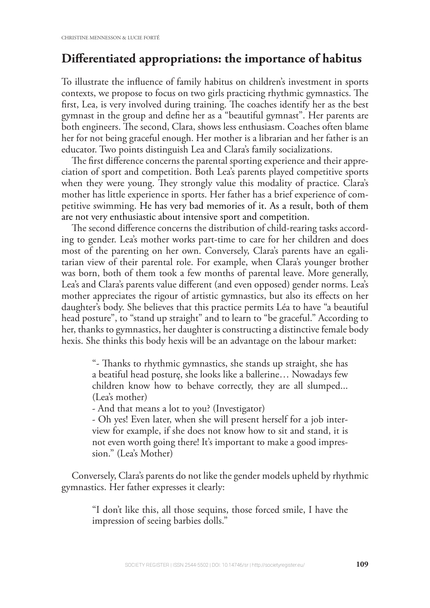## **Diferentiated appropriations: the importance of habitus**

To illustrate the infuence of family habitus on children's investment in sports contexts, we propose to focus on two girls practicing rhythmic gymnastics. The first, Lea, is very involved during training. The coaches identify her as the best gymnast in the group and defne her as a "beautiful gymnast". Her parents are both engineers. The second, Clara, shows less enthusiasm. Coaches often blame her for not being graceful enough. Her mother is a librarian and her father is an educator. Two points distinguish Lea and Clara's family socializations.

The first difference concerns the parental sporting experience and their appreciation of sport and competition. Both Lea's parents played competitive sports when they were young. They strongly value this modality of practice. Clara's mother has little experience in sports. Her father has a brief experience of competitive swimming. He has very bad memories of it. As a result, both of them are not very enthusiastic about intensive sport and competition.

The second difference concerns the distribution of child-rearing tasks according to gender. Lea's mother works part-time to care for her children and does most of the parenting on her own. Conversely, Clara's parents have an egalitarian view of their parental role. For example, when Clara's younger brother was born, both of them took a few months of parental leave. More generally, Lea's and Clara's parents value diferent (and even opposed) gender norms. Lea's mother appreciates the rigour of artistic gymnastics, but also its efects on her daughter's body. She believes that this practice permits Léa to have "a beautiful head posture", to "stand up straight" and to learn to "be graceful." According to her, thanks to gymnastics, her daughter is constructing a distinctive female body hexis. She thinks this body hexis will be an advantage on the labour market:

"- Tanks to rhythmic gymnastics, she stands up straight, she has a beatiful head posturę, she looks like a ballerine… Nowadays few children know how to behave correctly, they are all slumped... (Lea's mother)

- And that means a lot to you? (Investigator)

- Oh yes! Even later, when she will present herself for a job interview for example, if she does not know how to sit and stand, it is not even worth going there! It's important to make a good impression." (Lea's Mother)

Conversely, Clara's parents do not like the gender models upheld by rhythmic gymnastics. Her father expresses it clearly:

"I don't like this, all those sequins, those forced smile, I have the impression of seeing barbies dolls."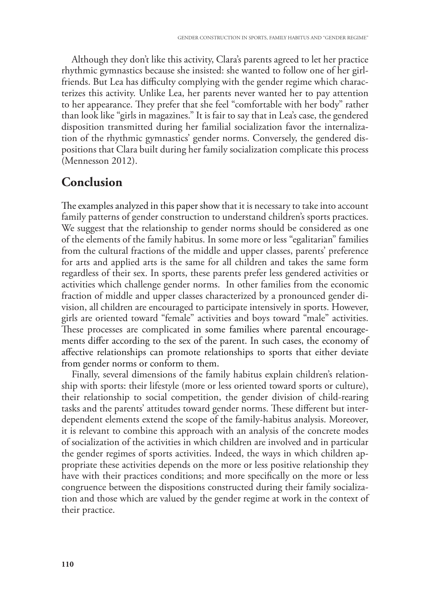Although they don't like this activity, Clara's parents agreed to let her practice rhythmic gymnastics because she insisted: she wanted to follow one of her girlfriends. But Lea has difficulty complying with the gender regime which characterizes this activity. Unlike Lea, her parents never wanted her to pay attention to her appearance. They prefer that she feel "comfortable with her body" rather than look like "girls in magazines." It is fair to say that in Lea's case, the gendered disposition transmitted during her familial socialization favor the internalization of the rhythmic gymnastics' gender norms. Conversely, the gendered dispositions that Clara built during her family socialization complicate this process (Mennesson 2012).

#### **Conclusion**

The examples analyzed in this paper show that it is necessary to take into account family patterns of gender construction to understand children's sports practices. We suggest that the relationship to gender norms should be considered as one of the elements of the family habitus. In some more or less "egalitarian" families from the cultural fractions of the middle and upper classes, parents' preference for arts and applied arts is the same for all children and takes the same form regardless of their sex. In sports, these parents prefer less gendered activities or activities which challenge gender norms. In other families from the economic fraction of middle and upper classes characterized by a pronounced gender division, all children are encouraged to participate intensively in sports. However, girls are oriented toward "female" activities and boys toward "male" activities. These processes are complicated in some families where parental encouragements difer according to the sex of the parent. In such cases, the economy of afective relationships can promote relationships to sports that either deviate from gender norms or conform to them.

Finally, several dimensions of the family habitus explain children's relationship with sports: their lifestyle (more or less oriented toward sports or culture), their relationship to social competition, the gender division of child-rearing tasks and the parents' attitudes toward gender norms. These different but interdependent elements extend the scope of the family-habitus analysis. Moreover, it is relevant to combine this approach with an analysis of the concrete modes of socialization of the activities in which children are involved and in particular the gender regimes of sports activities. Indeed, the ways in which children appropriate these activities depends on the more or less positive relationship they have with their practices conditions; and more specifcally on the more or less congruence between the dispositions constructed during their family socialization and those which are valued by the gender regime at work in the context of their practice.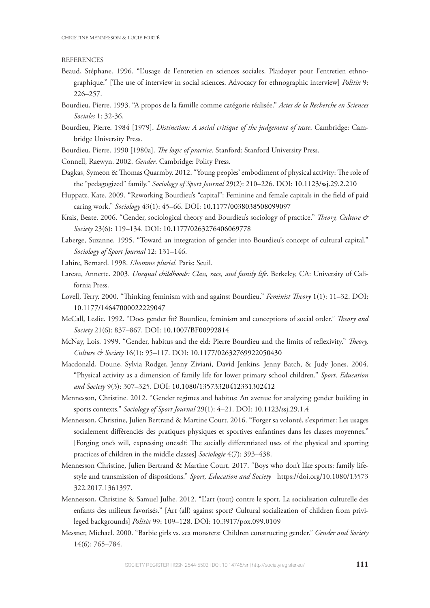#### **REFERENCES**

- Beaud, Stéphane. 1996. "L'usage de l'entretien en sciences sociales. Plaidoyer pour l'entretien ethnographique." [The use of interview in social sciences. Advocacy for ethnographic interview] *Politix* 9: 226–257.
- Bourdieu, Pierre. 1993. "A propos de la famille comme catégorie réalisée." *Actes de la Recherche en Sciences Sociales* 1: 32-36.
- Bourdieu, Pierre. 1984 [1979]. *Distinction: A social critique of the judgement of taste*. Cambridge: Cambridge University Press.
- Bourdieu, Pierre. 1990 [1980a]. *Te logic of practice*. Stanford: Stanford University Press.
- Connell, Raewyn. 2002. *Gender*. Cambridge: Polity Press.
- Dagkas, Symeon & Thomas Quarmby. 2012. "Young peoples' embodiment of physical activity: The role of the "pedagogized" family." *Sociology of Sport Journal* 29(2): 210–226. DOI: 10.1123/ssj.29.2.210
- Huppatz, Kate. 2009. "Reworking Bourdieu's "capital": Feminine and female capitals in the feld of paid caring work." *Sociology* 43(1): 45–66. DOI: 10.1177/0038038508099097
- Krais, Beate. 2006. "Gender, sociological theory and Bourdieu's sociology of practice." *Teory, Culture & Society* 23(6): 119–134. DOI: 10.1177/0263276406069778
- Laberge, Suzanne. 1995. "Toward an integration of gender into Bourdieu's concept of cultural capital." *Sociology of Sport Journal* 12: 131–146.
- Lahire, Bernard. 1998. *L'homme pluriel*. Paris: Seuil.
- Lareau, Annette. 2003. *Unequal childhoods: Class, race, and family life*. Berkeley, CA: University of California Press.
- Lovell, Terry. 2000. "Tinking feminism with and against Bourdieu." *Feminist Teory* 1(1): 11–32. DOI: 10.1177/14647000022229047
- McCall, Leslie. 1992. "Does gender ft? Bourdieu, feminism and conceptions of social order." *Teory and Society* 21(6): 837–867. DOI: 10.1007/BF00992814
- McNay, Lois. 1999. "Gender, habitus and the eld: Pierre Bourdieu and the limits of refexivity." *Teory, Culture & Society* 16(1): 95–117. DOI: 10.1177/02632769922050430
- Macdonald, Doune, Sylvia Rodger, Jenny Ziviani, David Jenkins, Jenny Batch, & Judy Jones. 2004. "Physical activity as a dimension of family life for lower primary school children." *Sport, Education and Society* 9(3): 307–325. DOI: 10.1080/13573320412331302412
- Mennesson, Christine. 2012. "Gender regimes and habitus: An avenue for analyzing gender building in sports contexts." *Sociology of Sport Journal* 29(1): 4–21. DOI: 10.1123/ssj.29.1.4
- Mennesson, Christine, Julien Bertrand & Martine Court. 2016. "Forger sa volonté, s'exprimer: Les usages socialement diférenciés des pratiques physiques et sportives enfantines dans les classes moyennes." [Forging one's will, expressing oneself: The socially differentiated uses of the physical and sporting practices of children in the middle classes] *Sociologie* 4(7): 393–438.
- Mennesson Christine, Julien Bertrand & Martine Court. 2017. "Boys who don't like sports: family lifestyle and transmission of dispositions." *Sport, Education and Society* https://doi.org/10.1080/13573 322.2017.1361397.
- Mennesson, Christine & Samuel Julhe. 2012. "L'art (tout) contre le sport. La socialisation culturelle des enfants des milieux favorisés." [Art (all) against sport? Cultural socialization of children from privileged backgrounds] *Politix* 99: 109–128. DOI: 10.3917/pox.099.0109
- Messner, Michael. 2000. "Barbie girls vs. sea monsters: Children constructing gender." *Gender and Society* 14(6): 765–784.